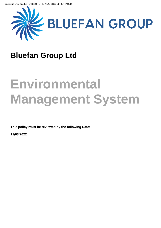

# **Bluefan Group Ltd**

# **Environmental Management System**

**This policy must be reviewed by the following Date:**

**11/03/2022**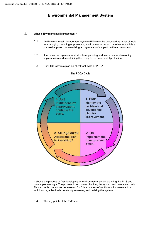#### **1.** What is Environmental Management?

- 1.1 An Environmental Management System (EMS) can be described as 'a set of tools for managing, reducing or preventing environmental impact'. In other words it is a planned approach to minimising an organisation's impact on the environment.
- 1.2 It includes the organisational structure, planning and resources for developing, implementing and maintaining the policy for environmental protection.
- 1.3 Our EMS follows a plan-do-check-act cycle or PDCA.



#### The PDCA Cycle

It shows the process of first developing an environmental policy, planning the EMS and then implementing it. The process incorporates checking the system and then acting on it. This model is continuous because an EMS is a process of continuous improvement in which an organisation is constantly reviewing and revising the system.

1.4 The key points of the EMS are: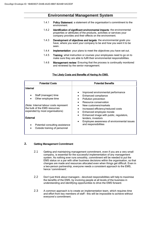# **Environmental Management System**

- 1.4.1 Policy Statement: a statement of the organisation's commitment to the environment.
- 1.4.2 Identification of significant environmental impacts: the environmental properties or attributes of the products, activities or services your company provides and their effects on the environment.
- 1.4.3 Development of objectives and targets: the environmental goals you have, where you want your company to be and how you want it to be seen.
- 1.4.4 Implementation: your plans to meet the objectives you have set out.
- 1.4.5 Training: what instruction or courses your employees need to go on to make sure they are able to fulfil their environmental responsibilities.
- 1.4.6 Management review: Ensuring that the process is continually monitored and reviewed by the senior management.

#### The Likely Costs and Benefits of Having An EMS.

| <b>Potential Costs</b>                                                                                                                                                                                                                                | <b>Potential Benefits</b>                                                                                                                                                                                                                                                                                                                                              |  |  |  |  |
|-------------------------------------------------------------------------------------------------------------------------------------------------------------------------------------------------------------------------------------------------------|------------------------------------------------------------------------------------------------------------------------------------------------------------------------------------------------------------------------------------------------------------------------------------------------------------------------------------------------------------------------|--|--|--|--|
| Internal<br>Staff (manager) time<br>Other employee time<br>(Note: Internal labour costs represent<br>the bulk of the FMS resources<br>expended by most organisations)<br>External<br>Potential consulting assistance<br>Outside training of personnel | Improved environmental performance<br>Enhanced compliance<br>Pollution prevention<br>Resource conservation<br>New customers/markets<br>$\bullet$<br>Increased efficiency/reduced costs<br>Enhanced employee morale<br>Enhanced image with public, regulators,<br>$\bullet$<br>lenders, investors<br>Employee awareness of environmental issues<br>and responsibilities |  |  |  |  |
|                                                                                                                                                                                                                                                       |                                                                                                                                                                                                                                                                                                                                                                        |  |  |  |  |

#### **2.** Getting Management Commitment

- 2.1 Getting and maintaining management commitment, even if you are a very small company, is essential for the successful implementation of any management system. As nothing ever runs smoothly, commitment will be needed to put the EMS status on a par with other business decisions within the organisation, so that changes are made and resources allocated even when things get difficult. Even in a two-person partnership, everyone needs a consistent approach to the EMS, hence 'commitment'.
- 2.2 Don't just think about managers devolved responsibilities will help to maximise the benefits of the EMS, by involving people at all levels of the business in understanding and identifying opportunities to drive the EMS forward.
- 2.3 A common approach is to create an implementation team, which requires time and effort from key members of staff - this will be impossible to achieve without everyone's commitment.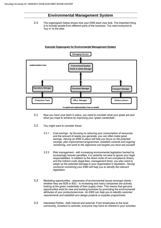2.4 The organogram below shows how your EMS team may look. The important thing is to include people from different parts of the business. You want everyone to 'buy in' to the idea.



#### Example Organogram for Environmental Management System

- 3.1 Now you have your team in place, you need to consider what your goals are and what you hope to achieve by improving your 'green credentials'.
- 3.2 You might want to consider these:
	- 3.2.1 Cost savings by focusing on reducing your consumption of resources and the amount of waste you generate, you can often make good savings. Having an EMS in place will help you focus on the potential savings, plan improvement programmes, establish controls and ongoing monitoring, and work to the objectives and targets you have set yourself.
	- 3.2.2 Risk management with increasing environmental legislation backed by increasingly heavier penalties, it is certainly not wise to ignore your legal responsibilities. In addition to the direct costs of non-compliance (fines), and the indirect costs (legal fees, management time), you also need to weigh up the potential damage to your organisation's reputation. Having someone monitoring your EMS will help you to identify the relevant legislation.
- 3.3 Marketing opportunities awareness of environmental issues amongst clients whether they are B2B or B2C - is increasing and many companies are actively looking at the green credentials of their supply chain. This means that genuine opportunities exist for new and existing business by promoting the environmental attributes of your products/services. An EMS can help you to identify customer requirements and establish eco-design projects or supplier programmes.
- 3.4 Interested Parties both internal and external. From employees to the local community, investors to activists, everyone may have an interest in your activities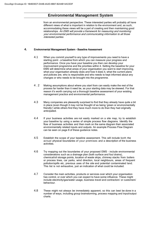from an environmental perspective. These interested parties will probably all have different views of what is important in relation to the environment and, as such, accommodating these views will be a part of creating and then maintaining good relationships. An EMS will provide a framework for measuring and monitoring your environmental performance and communicating information to all those interested parties.

#### **4.** Environmental Management System – Baseline Assessment

- 4.1 When you commit yourself to any type of improvements you need to have a starting point – a baseline from which you can measure your progress and performance. Once you have your baseline you then can develop your improvement programme and the priorities within it. Setting the baseline for your EMS will determine what areas of your organisation you want to start improving, what your organisation already does and how it does it, what the current plans and policies are, who is responsible and who needs to kept informed about any changes or who needs to be brought into the programme.
- 4 . 2 Making assumptions about where you start from can easily make the rest of the process far harder than it need be, as your starting data may be skewed. For that reason it's worth carrying out a thorough baseline assessment of your existing management practice and environmental performance.
- 4.3 Many companies are pleasantly surprised to find that they already have quite a bit in place (even though it may not be thought of as being 'green or environmentally friendly') while others find they have much more to do than they had originally anticipated.
- 4.4 If your business activities are not easily marked on a site map, try to establish your baseline by using a series of simple process flow diagrams. Identify the flow of business activities and then mark on the same diagram their associated environmentally related inputs and outputs. An example Process Flow Diagram can be seen on page 8 of these guidance notes.
- 4.5 Establish the scope of your baseline assessment. This will include both the actual physical boundaries of your premises and a description of the business activities.
- 4.6 Try mapping out the boundaries of your proposed EMS include environmental considerations such as a drainage plan (both surface and foul drains), chemical/oil storage points, location of waste skips, chimney stacks from boilers or process lines, car parks, wind direction, local neighbours, areas of frequent pollution/spills etc, previous uses of the site and potential contaminated land. This list is not exhaustive, just an indication of what could be included.
- 4.7 Consider the main activities, products or services over which your organisation has control, or over which you can expect to have some influence. These might include electricity/gas/water usage, business travel and contractors' or customers' behaviour.
- 4.8 These might not always be immediately apparent, so this can best be done in a number of ways, including group brainstorming, process mapping and input/output charts.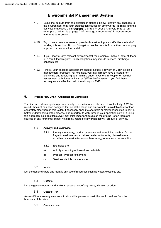- 4.9 Using the outputs from the exercise in clause 5 below, identify any changes to the environment that your organisation causes (in other words- Impacts) and the activities that cause them (Aspects) using a Process Analysis Matrix (an example of which is at page 7 of these guidance notes) in accordance with clause 6 below.
- 4.10 Try to use a common sense approach brainstorming is an effective method of tackling this section. But don't forget to use the outputs from either the mapping approach or process flow model.
- 4.11 If you know of any relevant environmental requirements, make a note of them in a 'draft legal register'. Such obligations may include licences, discharge consents etc.
- 4.12 Finally, your baseline assessment should include a review of your existing management practices. For example, you may already have a system for identifying and recording your training under Investors in People, or use risk assessment techniques within your QMS or H&S system. If you find these techniques are effective, build them into your EMS.

#### **5.** Process Flow Chart - Guidelines for Completion

The first step is to complete a process analysis exercise and visit each relevant activity. A Walkround Checklist has been designed for use at this stage and an example is available to download separately elsewhere in this folder. If necessary speak to operators or maintenance staff to gain a better understanding of the process. It is important to walk through your operation as well if using this approach, as a desktop survey may miss important issues on the ground – often there are sources of environmental impact not directly related to any main activity, product or service.

#### 5.1 Activity/Product/Service

- 5.1.1 Identify the activity, product or service and enter it into the box. Do not forget to evaluate past activities carried out on-site, planned future activities or site wide issues such as energy or resource consumption.
- 5.1.2 Examples are:
- a) Activity Handling of hazardous materials
- b) Product Product refinement
- c) Service Vehicle maintenance

#### 5.2 Inputs

List the generic inputs and identify any use of resources such as water, electricity etc.

#### 5.3 Outputs

List the generic outputs and make an assessment of any noise, vibration or odour.

#### 5.4 Outputs – Air

Assess if there are any emissions to air, visible plumes or dust (this could be done from the boundary of the site).

#### 5.5 Outputs – Land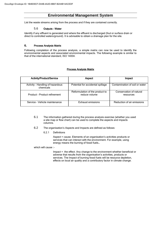List the waste streams arising from the process and if they are contained correctly.

#### 5.6 Outputs – Water

Identify if any effluent is generated and where the effluent is discharged (foul or surface drain or direct to controlled waters/ground). It is advisable to obtain a drainage plan for the site.

#### **6.** Process Analysis Matrix

Following completion of the process analysis, a simple matrix can now be used to identify the environmental aspects and associated environmental impacts. The following example is similar to that of the international standard, ISO 14004.

#### Process Analysis Matrix

| <b>Activity/Product/Service</b>               | <b>Aspect</b>                                    | <b>Impact</b>                        |  |  |  |  |
|-----------------------------------------------|--------------------------------------------------|--------------------------------------|--|--|--|--|
| Activity - Handling of hazardous<br>chemicals | Potential for accidental spillage                | Contamination of soil or water       |  |  |  |  |
| Product - Product refinement                  | Reformulation of the product to<br>reduce volume | Conservation of natural<br>resources |  |  |  |  |
| Service - Vehicle maintenance                 | Exhaust emissions                                | Reduction of air emissions           |  |  |  |  |

- 6.1 The information gathered during the process analysis exercise (whether you used a site map or flow chart) can be used to complete the aspects and impacts columns.
- 6.2 The organisation's Aspects and Impacts are defined as follows:
	- 6.2.1 Definitions

Aspect = cause. Elements of an organisation's activities products or services that can interact with the environment. For example, using energy means the burning of fossil fuels…

which will cause :-

Impact = the effect. Any change to the environment whether beneficial or adverse that results from the organisation's activities, products or services. The Impact of burning fossil fuels will be resource depletion, effects on local air quality and a contributory factor in climate change.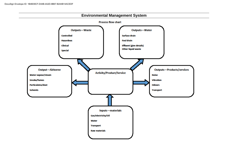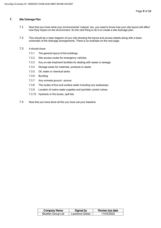#### **7.** Site Drainage Plan

- 7.1 Now that you know what your environmental 'outputs' are, you need to know how your site layout will affect how they impact on the environment. So the next thing to do is to create a site drainage plan.
- 7.2 This should be a clear diagram of your site showing the layout and access details along with a basic schematic of the drainage arrangements. There is an example on the next page.
- 7.3 It should show:
	- 7.3.1 The general layout of the buildings
	- 7.3.2 Site access routes for emergency vehicles
	- 7.3.3 Any on-site treatment facilities for dealing with waste or sewage
	- 7.3.4 Storage areas for materials, products or waste
	- 7.3.5 Oil, water or chemical tanks
	- 7.3.6 Bunding
	- 7.3.7 Any unmade ground porous
	- 7.3.8 The routes of foul and surface water including any soakaways
	- 7.3.9 Location of mains water supplies and sprinkler control valves
	- 7.3.10 Hydrants or fire boxes, spill kits
- 7.4 Now that you have done all this you have set your baseline.

| <b>Company Name</b> | Signed by      | Review due date |
|---------------------|----------------|-----------------|
| Bluefan Group Ltd   | Laurence Green | 11/03/2022      |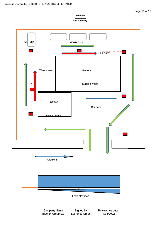#### Site Plan

#### Site boundary





Front elevation

| <b>Company Name</b> | Signed by      | Review due date |
|---------------------|----------------|-----------------|
| Bluefan Group Ltd   | Laurence Green | 11/03/2022      |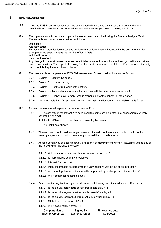#### **8.** EMS Risk Assessment

- 8.1 Once the EMS baseline assessment has established what is going on in your organisation, the next question is what are the issues to be addressed and what are you going to manage and how?
- 8.2 The organisation's Aspects and Impacts have now been determined using the Process Analysis Matrix. The Aspects and Impacts were defined as follows:

Definitions Aspect = cause. Elements of an organisation's activities products or services that can interact with the environment. For example, using energy means the burning of fossil fuels… which will cause :- $Image = the effect.$ Any change to the environment whether beneficial or adverse that results from the organisation's activities, products or services. The Impact of burning fossil fuels will be resource depletion, effects on local air quality

and a contributory factor in climate change.

- 8.3 The next step is to complete your EMS Risk Assessment for each task or location, as follows:
	- 8.3.1 Column 1 Identify the aspect,
	- 8.3.2 Column 2 List the source,
	- 8.3.3 Column 3 List the frequency of the activity,
	- 8.3.4 Column 4 Potential environmental impact how will this affect the environment?
	- 8.3.5 Column 5 Responsible Person who is responsible for the aspect i.e. the cleaner.
	- 8.3.6 Many example Risk Assessments for common tasks and locations are available in this folder.

8.4 For each environmental aspect work out the Level of Risk:

- 8.4.1 S The severity of the Impact. We have used the same scale as other risk assessments 5= Very severe: 1 = Minimal
	- P Likelihood/Probability the chance of anything happening.
	- R The Risk Factor/Score
- 8.4.2 These scores should be done as you are now. If you do not have any controls to mitigate the severity as yet you should not score as you would like it to be but as is.
- 8.4.3 Assess Severity by asking: What would happen if something went wrong? Answering 'yes' to any of the following will increase the score;
	- 8.4.3.1 Will the impact cause substantial damage or nuisance?
	- 8.4.3.2 Is there a large quantity or volume?
	- 8.4.3.3 It is toxic/hazardous?
	- 8.4.3.4 Might the impacts be perceived in a very negative way by the public or press?
	- 8.4.3.5 Are there legal ramifications from the impact with possible prosecution and fines?
	- 8.4.3.6 Will it cost much to fix the issue?
- 8.4.4 When considering likelihood you need to ask the following questions, which will affect the score.
	- 8.4.4.1 Is the activity continuous or very frequent ie daily? 5
	- 8.4.4.2 Is the activity regular *and* frequent ie weekly/monthly 4
	- 8.4.4.3 Is the activity regular but infrequent ie bi-annual/annual 3
	- 8.4.4.4 Might it occur occasionally? 2
	- 8.4.4.5 Will it occur rarely if ever? 1

| <b>Company Name</b> | Signed by      | Review due date |
|---------------------|----------------|-----------------|
| Bluefan Group Ltd   | Laurence Green | 11/03/2022      |